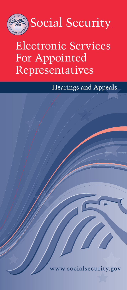

# Electronic Services For Appointed Representatives

Hearings and Appeals

w.socialsecurity.gov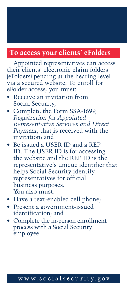## **To access your clients' eFolders**

Appointed representatives can access their clients' electronic claim folders (eFolders) pending at the hearing level via a secured website. To enroll for eFolder access, you must:

- Receive an invitation from Social Security;
- Complete the [Form SSA-1699,](https://www.ssa.gov/forms/ssa-1699.pdf) *Registration for Appointed [Representative Services and Direct](http://www.socialsecurity.gov/ar/) [Payment](http://www.socialsecurity.gov/ar/)*, that is received with the invitation; and
- Be issued a USER ID and a REP ID. The USER ID is for accessing the website and the REP ID is the representative's unique identifier that helps Social Security identify representatives for official business purposes. You also must:
- Have a text-enabled cell phone;
- Present a government-issued identification; and
- Complete the in-person enrollment process with a Social Security employee.

#### www.socialsecurity.gov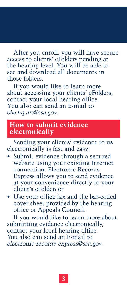After you enroll, you will have secure access to clients' eFolders pending at the hearing level. You will be able to see and download all documents in those folders.

If you would like to learn more about accessing your clients' eFolders, contact your local hearing office. You also can send an E-mail to *oho.hq.ars@ssa.gov.*

### **How to submit evidence electronically**

Sending your clients' evidence to us electronically is fast and easy:

- Submit evidence through a secured website using your existing Internet connection. Electronic Records Express allows you to send evidence at your convenience directly to your client's eFolder; or
- Use your office fax and the bar-coded cover sheet provided by the hearing office or Appeals Council.

If you would like to learn more about submitting evidence electronically, contact your local hearing office. You also can send an E-mail to *electronic-records-express@ssa.gov.*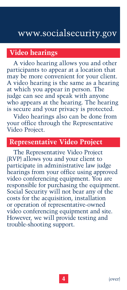## **Video hearings**

A video hearing allows you and other participants to appear at a location that may be more convenient for your client. A video hearing is the same as a hearing at which you appear in person. The judge can see and speak with anyone who appears at the hearing. The hearing is secure and your privacy is protected.

Video hearings also can be done from your office through the Representative Video Project.

## **Representative Video Project**

The Representative Video Project (RVP) allows you and your client to participate in administrative law judge hearings from your office using approved video conferencing equipment. You are responsible for purchasing the equipment. Social Security will not bear any of the costs for the acquisition, installation or operation of representative-owned video conferencing equipment and site. However, we will provide testing and trouble-shooting support.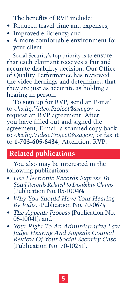The benefits of RVP include:

- Reduced travel time and expenses;
- Improved efficiency; and
- A more comfortable environment for your client.

Social Security's top priority is to ensure that each claimant receives a fair and accurate disability decision. Our Office of Quality Performance has reviewed the video hearings and determined that they are just as accurate as holding a hearing in person.

To sign up for RVP, send an E-mail to *oho.hq.Video.Project@ssa.gov* to request an RVP agreement. After you have filled out and signed the agreement, E-mail a scanned copy back to *oho.hq.Video.Project@ssa.gov*, or fax it to **1-703-605-8434**, Attention: RVP.

## **Related publications**

You also may be interested in the following publications:

- *[Use Electronic Records Express To](https://www.ssa.gov/pubs/EN-05-10046.pdf) Send Records Related to Disability Claims* [\(Publication No.](https://www.ssa.gov/pubs/EN-05-10046.pdf) 05-10046);
- *[Why You Should Have Your Hearing](https://www.ssa.gov/appeals/pubs/70-067.pdf) By Video* [\(Publication No. 70-067](https://www.ssa.gov/appeals/pubs/70-067.pdf));
- *[The Appeals Process](https://www.ssa.gov/pubs/EN-05-10041.pdf)* (Publication No.  $05 - 100 - 41$ ; and
- *Your Right To An Administrative Law Judge Hearing And Appeals Council [Review Of Your Social Security Case](https://www.ssa.gov/pubs/EN-70-10281.pdf)* ([Publication No. 70-10281\)](https://www.ssa.gov/pubs/EN-70-10281.pdf).